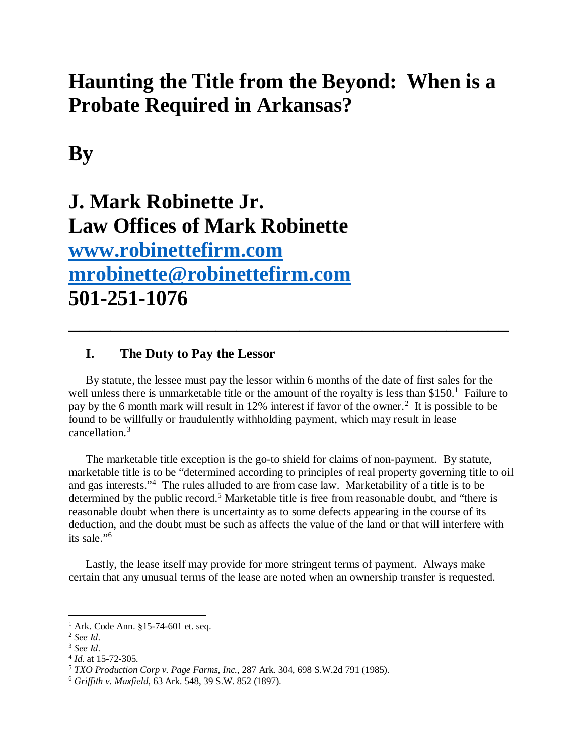# **Haunting the Title from the Beyond: When is a Probate Required in Arkansas?**

**By**

# **J. Mark Robinette Jr. Law Offices of Mark Robinette www.robinettefirm.com mrobinette@robinettefirm.com 501-251-1076**

# **I. The Duty to Pay the Lessor**

By statute, the lessee must pay the lessor within 6 months of the date of first sales for the well unless there is unmarketable title or the amount of the royalty is less than \$150. $^1$  Failure to pay by the 6 month mark will result in 12% interest if favor of the owner.<sup>2</sup> It is possible to be found to be willfully or fraudulently withholding payment, which may result in lease cancellation.<sup>3</sup>

**\_\_\_\_\_\_\_\_\_\_\_\_\_\_\_\_\_\_\_\_\_\_\_\_\_\_\_\_\_\_\_\_\_\_\_\_\_\_\_\_\_\_**

The marketable title exception is the go-to shield for claims of non-payment. By statute, marketable title is to be "determined according to principles of real property governing title to oil and gas interests."<sup>4</sup> The rules alluded to are from case law. Marketability of a title is to be determined by the public record.<sup>5</sup> Marketable title is free from reasonable doubt, and "there is reasonable doubt when there is uncertainty as to some defects appearing in the course of its deduction, and the doubt must be such as affects the value of the land or that will interfere with its sale."<sup>6</sup>

Lastly, the lease itself may provide for more stringent terms of payment. Always make certain that any unusual terms of the lease are noted when an ownership transfer is requested.

<sup>&</sup>lt;sup>1</sup> Ark. Code Ann. §15-74-601 et. seq.

<sup>2</sup> *See Id*.

<sup>3</sup> *See Id*.

<sup>4</sup> *Id*. at 15-72-305.

<sup>5</sup> *TXO Production Corp v. Page Farms, Inc.*, 287 Ark. 304, 698 S.W.2d 791 (1985).

<sup>6</sup> *Griffith v. Maxfield*, 63 Ark. 548, 39 S.W. 852 (1897).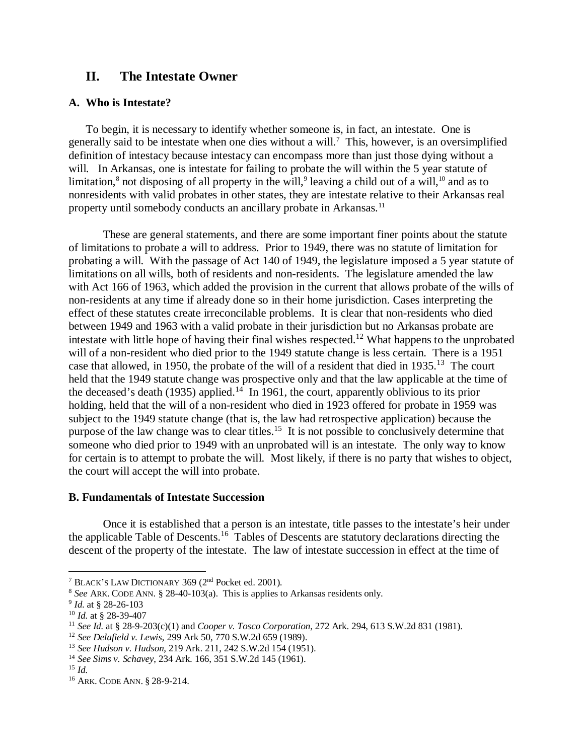## **II. The Intestate Owner**

#### **A. Who is Intestate?**

To begin, it is necessary to identify whether someone is, in fact, an intestate. One is generally said to be intestate when one dies without a will.<sup>7</sup> This, however, is an oversimplified definition of intestacy because intestacy can encompass more than just those dying without a will. In Arkansas, one is intestate for failing to probate the will within the 5 year statute of limitation,<sup>8</sup> not disposing of all property in the will,<sup>9</sup> leaving a child out of a will,<sup>10</sup> and as to nonresidents with valid probates in other states, they are intestate relative to their Arkansas real property until somebody conducts an ancillary probate in Arkansas.<sup>11</sup>

These are general statements, and there are some important finer points about the statute of limitations to probate a will to address. Prior to 1949, there was no statute of limitation for probating a will. With the passage of Act 140 of 1949, the legislature imposed a 5 year statute of limitations on all wills, both of residents and non-residents. The legislature amended the law with Act 166 of 1963, which added the provision in the current that allows probate of the wills of non-residents at any time if already done so in their home jurisdiction. Cases interpreting the effect of these statutes create irreconcilable problems. It is clear that non-residents who died between 1949 and 1963 with a valid probate in their jurisdiction but no Arkansas probate are intestate with little hope of having their final wishes respected.<sup>12</sup> What happens to the unprobated will of a non-resident who died prior to the 1949 statute change is less certain. There is a 1951 case that allowed, in 1950, the probate of the will of a resident that died in 1935.<sup>13</sup> The court held that the 1949 statute change was prospective only and that the law applicable at the time of the deceased's death (1935) applied.<sup>14</sup> In 1961, the court, apparently oblivious to its prior holding, held that the will of a non-resident who died in 1923 offered for probate in 1959 was subject to the 1949 statute change (that is, the law had retrospective application) because the purpose of the law change was to clear titles.<sup>15</sup> It is not possible to conclusively determine that someone who died prior to 1949 with an unprobated will is an intestate. The only way to know for certain is to attempt to probate the will. Most likely, if there is no party that wishes to object, the court will accept the will into probate.

#### **B. Fundamentals of Intestate Succession**

Once it is established that a person is an intestate, title passes to the intestate's heir under the applicable Table of Descents.<sup>16</sup> Tables of Descents are statutory declarations directing the descent of the property of the intestate. The law of intestate succession in effect at the time of

<sup>7</sup> BLACK'S LAW DICTIONARY 369 (2nd Pocket ed. 2001).

<sup>8</sup> *See* ARK. CODE ANN. § 28-40-103(a). This is applies to Arkansas residents only.

<sup>9</sup> *Id.* at § 28-26-103

<sup>10</sup> *Id.* at § 28-39-407

<sup>11</sup> *See Id.* at § 28-9-203(c)(1) and *Cooper v. Tosco Corporation*, 272 Ark. 294, 613 S.W.2d 831 (1981).

<sup>12</sup> *See Delafield v. Lewis*, 299 Ark 50, 770 S.W.2d 659 (1989).

<sup>13</sup> *See Hudson v. Hudson*, 219 Ark. 211, 242 S.W.2d 154 (1951).

<sup>14</sup> *See Sims v. Schavey*, 234 Ark. 166, 351 S.W.2d 145 (1961).

<sup>15</sup> *Id.*

<sup>16</sup> ARK. CODE ANN. § 28-9-214.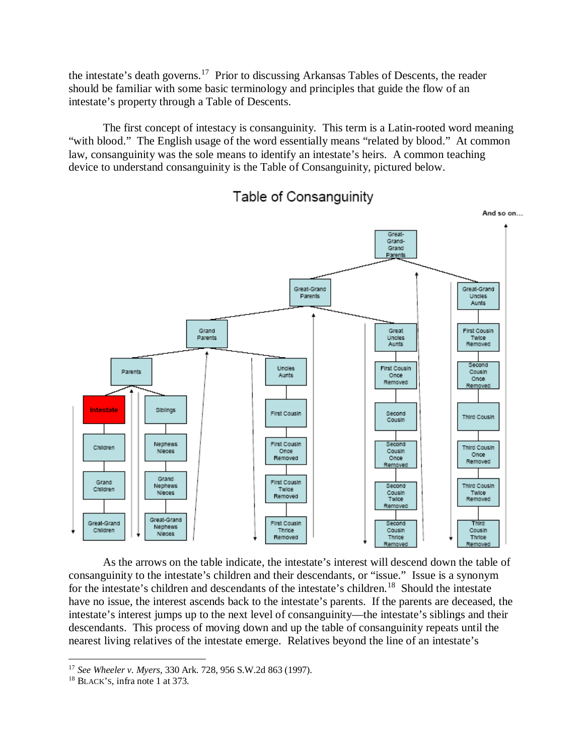the intestate's death governs.<sup>17</sup> Prior to discussing Arkansas Tables of Descents, the reader should be familiar with some basic terminology and principles that guide the flow of an intestate's property through a Table of Descents.

The first concept of intestacy is consanguinity. This term is a Latin-rooted word meaning "with blood." The English usage of the word essentially means "related by blood." At common law, consanguinity was the sole means to identify an intestate's heirs. A common teaching device to understand consanguinity is the Table of Consanguinity, pictured below.



Table of Consanguinity

As the arrows on the table indicate, the intestate's interest will descend down the table of consanguinity to the intestate's children and their descendants, or "issue." Issue is a synonym for the intestate's children and descendants of the intestate's children.<sup>18</sup> Should the intestate have no issue, the interest ascends back to the intestate's parents. If the parents are deceased, the intestate's interest jumps up to the next level of consanguinity—the intestate's siblings and their descendants. This process of moving down and up the table of consanguinity repeats until the nearest living relatives of the intestate emerge. Relatives beyond the line of an intestate's

<sup>17</sup> *See Wheeler v. Myers*, 330 Ark. 728, 956 S.W.2d 863 (1997).

<sup>18</sup> BLACK'S, infra note 1 at 373.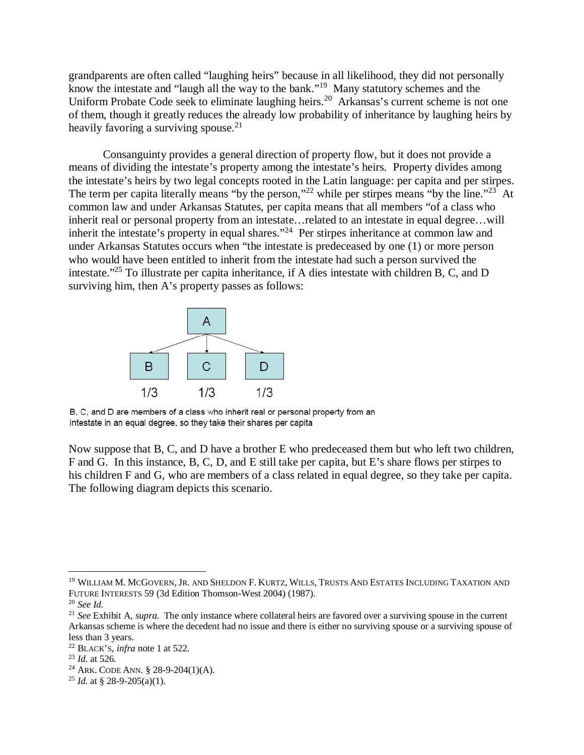grandparents are often called "laughing heirs" because in all likelihood, they did not personally know the intestate and "laugh all the way to the bank."<sup>19</sup> Many statutory schemes and the Uniform Probate Code seek to eliminate laughing heirs.<sup>20</sup> Arkansas's current scheme is not one of them, though it greatly reduces the already low probability of inheritance by laughing heirs by heavily favoring a surviving spouse. $^{21}$ 

Consanguinty provides a general direction of property flow, but it does not provide a means of dividing the intestate's property among the intestate's heirs. Property divides among the intestate's heirs by two legal concepts rooted in the Latin language: per capita and per stirpes. The term per capita literally means "by the person,"<sup>22</sup> while per stirpes means "by the line."<sup>23</sup> At common law and under Arkansas Statutes, per capita means that all members "of a class who inherit real or personal property from an intestate…related to an intestate in equal degree…will inherit the intestate's property in equal shares."<sup>24</sup> Per stirpes inheritance at common law and under Arkansas Statutes occurs when "the intestate is predeceased by one (1) or more person who would have been entitled to inherit from the intestate had such a person survived the intestate."<sup>25</sup> To illustrate per capita inheritance, if A dies intestate with children B, C, and D surviving him, then A's property passes as follows:



B, C, and D are members of a class who inherit real or personal property from an intestate in an equal degree, so they take their shares per capita

Now suppose that B, C, and D have a brother E who predeceased them but who left two children, F and G. In this instance, B, C, D, and E still take per capita, but E's share flows per stirpes to his children F and G, who are members of a class related in equal degree, so they take per capita. The following diagram depicts this scenario.

<sup>&</sup>lt;sup>19</sup> WILLIAM M. MCGOVERN, JR. AND SHELDON F. KURTZ, WILLS, TRUSTS AND ESTATES INCLUDING TAXATION AND FUTURE INTERESTS 59 (3d Edition Thomson-West 2004) (1987).

<sup>20</sup> *See Id.*

<sup>21</sup> *See* Exhibit A, *supra.* The only instance where collateral heirs are favored over a surviving spouse in the current Arkansas scheme is where the decedent had no issue and there is either no surviving spouse or a surviving spouse of less than 3 years.

<sup>22</sup> BLACK'S, *infra* note 1 at 522.

<sup>23</sup> *Id.* at 526.

<sup>24</sup> ARK. CODE ANN. § 28-9-204(1)(A).

<sup>&</sup>lt;sup>25</sup> *Id.* at § 28-9-205(a)(1).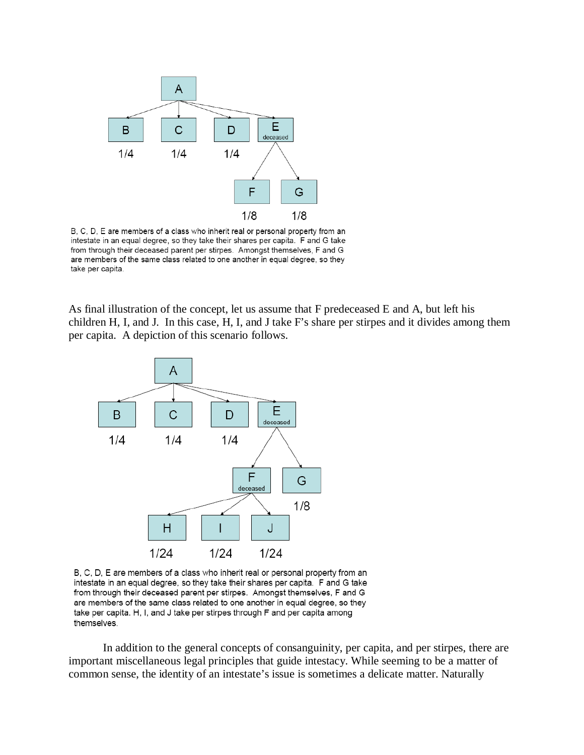

B, C, D, E are members of a class who inherit real or personal property from an intestate in an equal degree, so they take their shares per capita. F and G take from through their deceased parent per stirpes. Amongst themselves, F and G are members of the same class related to one another in equal degree, so they take per capita.

As final illustration of the concept, let us assume that F predeceased E and A, but left his children H, I, and J. In this case, H, I, and J take F's share per stirpes and it divides among them per capita. A depiction of this scenario follows.



B, C, D, E are members of a class who inherit real or personal property from an intestate in an equal degree, so they take their shares per capita. F and G take from through their deceased parent per stirpes. Amongst themselves, F and G are members of the same class related to one another in equal degree, so they take per capita. H, I, and J take per stirpes through F and per capita among themselves.

In addition to the general concepts of consanguinity, per capita, and per stirpes, there are important miscellaneous legal principles that guide intestacy. While seeming to be a matter of common sense, the identity of an intestate's issue is sometimes a delicate matter. Naturally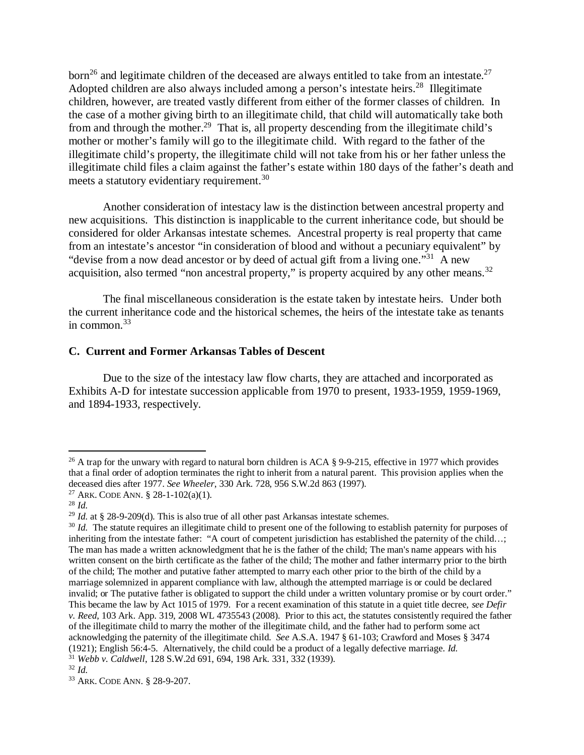born<sup>26</sup> and legitimate children of the deceased are always entitled to take from an intestate.<sup>27</sup> Adopted children are also always included among a person's intestate heirs.<sup>28</sup> Illegitimate children, however, are treated vastly different from either of the former classes of children. In the case of a mother giving birth to an illegitimate child, that child will automatically take both from and through the mother.<sup>29</sup> That is, all property descending from the illegitimate child's mother or mother's family will go to the illegitimate child. With regard to the father of the illegitimate child's property, the illegitimate child will not take from his or her father unless the illegitimate child files a claim against the father's estate within 180 days of the father's death and meets a statutory evidentiary requirement.<sup>30</sup>

Another consideration of intestacy law is the distinction between ancestral property and new acquisitions. This distinction is inapplicable to the current inheritance code, but should be considered for older Arkansas intestate schemes. Ancestral property is real property that came from an intestate's ancestor "in consideration of blood and without a pecuniary equivalent" by "devise from a now dead ancestor or by deed of actual gift from a living one."<sup>31</sup> A new acquisition, also termed "non ancestral property," is property acquired by any other means.<sup>32</sup>

The final miscellaneous consideration is the estate taken by intestate heirs. Under both the current inheritance code and the historical schemes, the heirs of the intestate take as tenants in common. $33$ 

#### **C. Current and Former Arkansas Tables of Descent**

Due to the size of the intestacy law flow charts, they are attached and incorporated as Exhibits A-D for intestate succession applicable from 1970 to present, 1933-1959, 1959-1969, and 1894-1933, respectively.

<sup>&</sup>lt;sup>26</sup> A trap for the unwary with regard to natural born children is ACA § 9-9-215, effective in 1977 which provides that a final order of adoption terminates the right to inherit from a natural parent. This provision applies when the deceased dies after 1977. *See Wheeler*, 330 Ark. 728, 956 S.W.2d 863 (1997).

<sup>&</sup>lt;sup>27</sup> ARK. CODE ANN. § 28-1-102(a)(1).

<sup>28</sup> *Id.*

<sup>29</sup> *Id.* at § 28-9-209(d). This is also true of all other past Arkansas intestate schemes.

<sup>&</sup>lt;sup>30</sup> *Id.* The statute requires an illegitimate child to present one of the following to establish paternity for purposes of inheriting from the intestate father: "A court of competent jurisdiction has established the paternity of the child…; The man has made a written acknowledgment that he is the father of the child; The man's name appears with his written consent on the birth certificate as the father of the child; The mother and father intermarry prior to the birth of the child; The mother and putative father attempted to marry each other prior to the birth of the child by a marriage solemnized in apparent compliance with law, although the attempted marriage is or could be declared invalid; or The putative father is obligated to support the child under a written voluntary promise or by court order." This became the law by Act 1015 of 1979. For a recent examination of this statute in a quiet title decree, *see Defir v. Reed*, 103 Ark. App. 319, 2008 WL 4735543 (2008). Prior to this act, the statutes consistently required the father of the illegitimate child to marry the mother of the illegitimate child, and the father had to perform some act acknowledging the paternity of the illegitimate child. *See* A.S.A. 1947 § 61-103; Crawford and Moses § 3474 (1921); English 56:4-5. Alternatively, the child could be a product of a legally defective marriage. *Id.* <sup>31</sup> *Webb v. Caldwell*, 128 S.W.2d 691, 694, 198 Ark. 331, 332 (1939).

<sup>32</sup> *Id.*

<sup>33</sup> ARK. CODE ANN. § 28-9-207.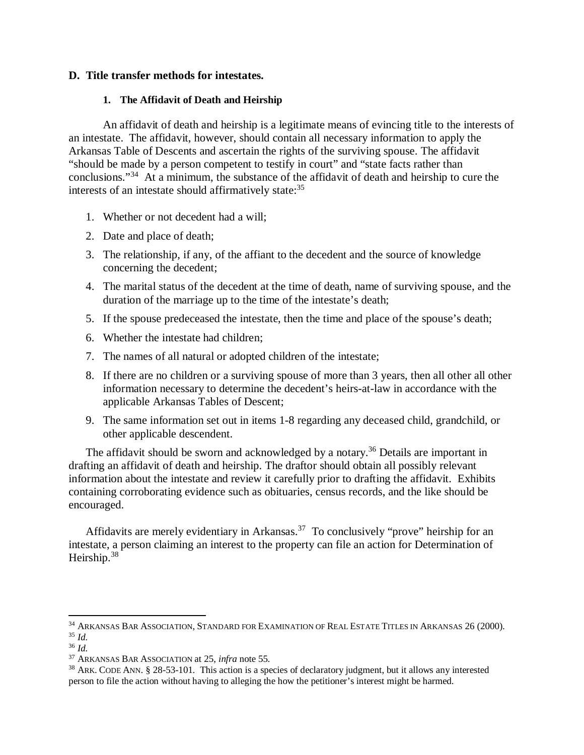#### **D. Title transfer methods for intestates.**

#### **1. The Affidavit of Death and Heirship**

An affidavit of death and heirship is a legitimate means of evincing title to the interests of an intestate. The affidavit, however, should contain all necessary information to apply the Arkansas Table of Descents and ascertain the rights of the surviving spouse. The affidavit "should be made by a person competent to testify in court" and "state facts rather than conclusions."<sup>34</sup> At a minimum, the substance of the affidavit of death and heirship to cure the interests of an intestate should affirmatively state:<sup>35</sup>

- 1. Whether or not decedent had a will;
- 2. Date and place of death;
- 3. The relationship, if any, of the affiant to the decedent and the source of knowledge concerning the decedent;
- 4. The marital status of the decedent at the time of death, name of surviving spouse, and the duration of the marriage up to the time of the intestate's death;
- 5. If the spouse predeceased the intestate, then the time and place of the spouse's death;
- 6. Whether the intestate had children;
- 7. The names of all natural or adopted children of the intestate;
- 8. If there are no children or a surviving spouse of more than 3 years, then all other all other information necessary to determine the decedent's heirs-at-law in accordance with the applicable Arkansas Tables of Descent;
- 9. The same information set out in items 1-8 regarding any deceased child, grandchild, or other applicable descendent.

The affidavit should be sworn and acknowledged by a notary.<sup>36</sup> Details are important in drafting an affidavit of death and heirship. The draftor should obtain all possibly relevant information about the intestate and review it carefully prior to drafting the affidavit. Exhibits containing corroborating evidence such as obituaries, census records, and the like should be encouraged.

Affidavits are merely evidentiary in Arkansas.<sup>37</sup> To conclusively "prove" heirship for an intestate, a person claiming an interest to the property can file an action for Determination of Heirship.<sup>38</sup>

<sup>&</sup>lt;sup>34</sup> ARKANSAS BAR ASSOCIATION, STANDARD FOR EXAMINATION OF REAL ESTATE TITLES IN ARKANSAS 26 (2000). <sup>35</sup> *Id.*

<sup>36</sup> *Id.*

<sup>37</sup> ARKANSAS BAR ASSOCIATION at 25, *infra* note 55.

<sup>38</sup> ARK. CODE ANN. § 28-53-101. This action is a species of declaratory judgment, but it allows any interested person to file the action without having to alleging the how the petitioner's interest might be harmed.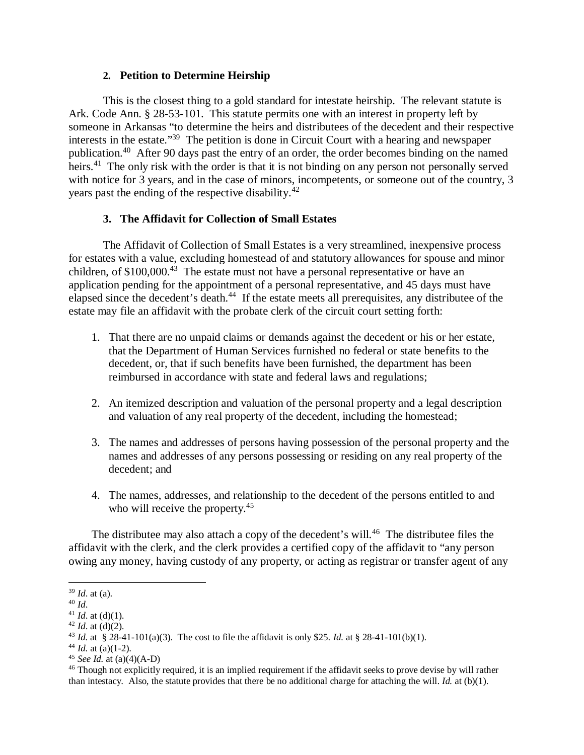#### **2. Petition to Determine Heirship**

This is the closest thing to a gold standard for intestate heirship. The relevant statute is Ark. Code Ann. § 28-53-101. This statute permits one with an interest in property left by someone in Arkansas "to determine the heirs and distributees of the decedent and their respective interests in the estate."<sup>39</sup> The petition is done in Circuit Court with a hearing and newspaper publication.<sup>40</sup> After 90 days past the entry of an order, the order becomes binding on the named heirs.<sup>41</sup> The only risk with the order is that it is not binding on any person not personally served with notice for 3 years, and in the case of minors, incompetents, or someone out of the country, 3 years past the ending of the respective disability.<sup>42</sup>

#### **3. The Affidavit for Collection of Small Estates**

The Affidavit of Collection of Small Estates is a very streamlined, inexpensive process for estates with a value, excluding homestead of and statutory allowances for spouse and minor children, of  $$100,000<sup>43</sup>$  The estate must not have a personal representative or have an application pending for the appointment of a personal representative, and 45 days must have elapsed since the decedent's death.<sup>44</sup> If the estate meets all prerequisites, any distributee of the estate may file an affidavit with the probate clerk of the circuit court setting forth:

- 1. That there are no unpaid claims or demands against the decedent or his or her estate, that the Department of Human Services furnished no federal or state benefits to the decedent, or, that if such benefits have been furnished, the department has been reimbursed in accordance with state and federal laws and regulations;
- 2. An itemized description and valuation of the personal property and a legal description and valuation of any real property of the decedent, including the homestead;
- 3. The names and addresses of persons having possession of the personal property and the names and addresses of any persons possessing or residing on any real property of the decedent; and
- 4. The names, addresses, and relationship to the decedent of the persons entitled to and who will receive the property.<sup>45</sup>

The distributee may also attach a copy of the decedent's will.<sup>46</sup> The distributee files the affidavit with the clerk, and the clerk provides a certified copy of the affidavit to "any person owing any money, having custody of any property, or acting as registrar or transfer agent of any

<sup>39</sup> *Id*. at (a).

<sup>40</sup> *Id*.

<sup>&</sup>lt;sup>41</sup> *Id.* at (d)(1).

 $42$  *Id.* at (d)(2).

<sup>43</sup> *Id.* at § 28-41-101(a)(3). The cost to file the affidavit is only \$25. *Id.* at § 28-41-101(b)(1).

<sup>&</sup>lt;sup>44</sup> *Id.* at (a)(1-2).

<sup>45</sup> *See Id.* at (a)(4)(A-D)

<sup>&</sup>lt;sup>46</sup> Though not explicitly required, it is an implied requirement if the affidavit seeks to prove devise by will rather than intestacy. Also, the statute provides that there be no additional charge for attaching the will. *Id.* at (b)(1).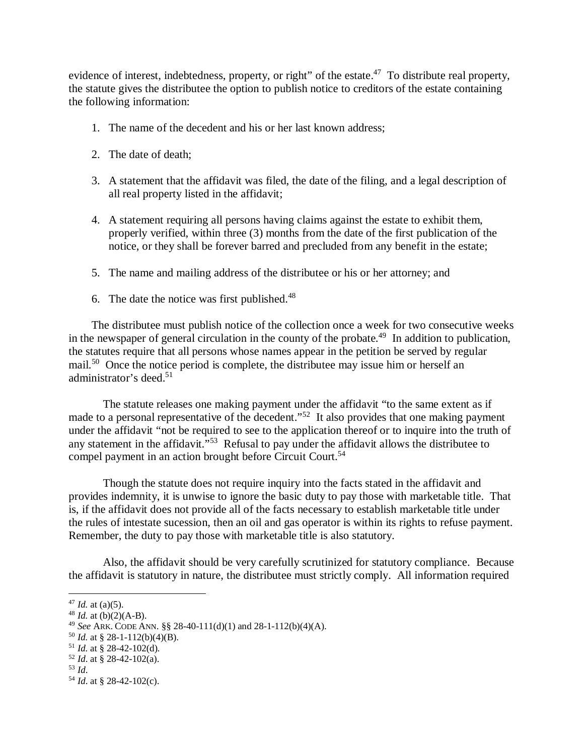evidence of interest, indebtedness, property, or right" of the estate.<sup>47</sup> To distribute real property, the statute gives the distributee the option to publish notice to creditors of the estate containing the following information:

- 1. The name of the decedent and his or her last known address;
- 2. The date of death;
- 3. A statement that the affidavit was filed, the date of the filing, and a legal description of all real property listed in the affidavit;
- 4. A statement requiring all persons having claims against the estate to exhibit them, properly verified, within three (3) months from the date of the first publication of the notice, or they shall be forever barred and precluded from any benefit in the estate;
- 5. The name and mailing address of the distributee or his or her attorney; and
- 6. The date the notice was first published. $48$

The distributee must publish notice of the collection once a week for two consecutive weeks in the newspaper of general circulation in the county of the probate.<sup>49</sup> In addition to publication, the statutes require that all persons whose names appear in the petition be served by regular mail.<sup>50</sup> Once the notice period is complete, the distributee may issue him or herself an administrator's deed.<sup>51</sup>

The statute releases one making payment under the affidavit "to the same extent as if made to a personal representative of the decedent."<sup>52</sup> It also provides that one making payment under the affidavit "not be required to see to the application thereof or to inquire into the truth of any statement in the affidavit."<sup>53</sup> Refusal to pay under the affidavit allows the distributee to compel payment in an action brought before Circuit Court.<sup>54</sup>

Though the statute does not require inquiry into the facts stated in the affidavit and provides indemnity, it is unwise to ignore the basic duty to pay those with marketable title. That is, if the affidavit does not provide all of the facts necessary to establish marketable title under the rules of intestate sucession, then an oil and gas operator is within its rights to refuse payment. Remember, the duty to pay those with marketable title is also statutory.

Also, the affidavit should be very carefully scrutinized for statutory compliance. Because the affidavit is statutory in nature, the distributee must strictly comply. All information required

<sup>&</sup>lt;sup>47</sup> *Id.* at (a)(5).

 $48$  *Id.* at (b)(2)(A-B).

<sup>49</sup> *See* ARK. CODE ANN. §§ 28-40-111(d)(1) and 28-1-112(b)(4)(A).

 $50$  *Id.* at § 28-1-112(b)(4)(B).

 $51$  *Id.* at § 28-42-102(d).

<sup>52</sup> *Id*. at § 28-42-102(a).

<sup>53</sup> *Id*.

<sup>54</sup> *Id*. at § 28-42-102(c).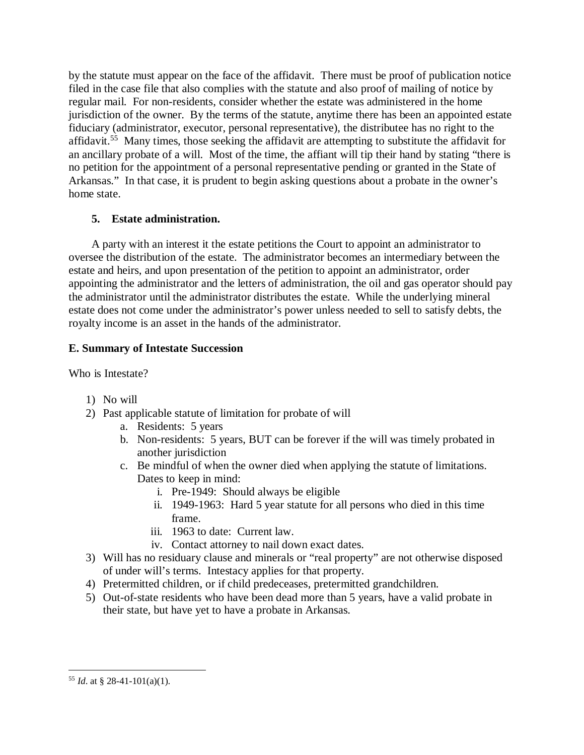by the statute must appear on the face of the affidavit. There must be proof of publication notice filed in the case file that also complies with the statute and also proof of mailing of notice by regular mail. For non-residents, consider whether the estate was administered in the home jurisdiction of the owner. By the terms of the statute, anytime there has been an appointed estate fiduciary (administrator, executor, personal representative), the distributee has no right to the affidavit.<sup>55</sup> Many times, those seeking the affidavit are attempting to substitute the affidavit for an ancillary probate of a will. Most of the time, the affiant will tip their hand by stating "there is no petition for the appointment of a personal representative pending or granted in the State of Arkansas." In that case, it is prudent to begin asking questions about a probate in the owner's home state.

## **5. Estate administration.**

A party with an interest it the estate petitions the Court to appoint an administrator to oversee the distribution of the estate. The administrator becomes an intermediary between the estate and heirs, and upon presentation of the petition to appoint an administrator, order appointing the administrator and the letters of administration, the oil and gas operator should pay the administrator until the administrator distributes the estate. While the underlying mineral estate does not come under the administrator's power unless needed to sell to satisfy debts, the royalty income is an asset in the hands of the administrator.

## **E. Summary of Intestate Succession**

Who is Intestate?

- 1) No will
- 2) Past applicable statute of limitation for probate of will
	- a. Residents: 5 years
	- b. Non-residents: 5 years, BUT can be forever if the will was timely probated in another jurisdiction
	- c. Be mindful of when the owner died when applying the statute of limitations. Dates to keep in mind:
		- i. Pre-1949: Should always be eligible
		- ii. 1949-1963: Hard 5 year statute for all persons who died in this time frame.
		- iii. 1963 to date: Current law.
		- iv. Contact attorney to nail down exact dates.
- 3) Will has no residuary clause and minerals or "real property" are not otherwise disposed of under will's terms. Intestacy applies for that property.
- 4) Pretermitted children, or if child predeceases, pretermitted grandchildren.
- 5) Out-of-state residents who have been dead more than 5 years, have a valid probate in their state, but have yet to have a probate in Arkansas.

<sup>55</sup> *Id*. at § 28-41-101(a)(1).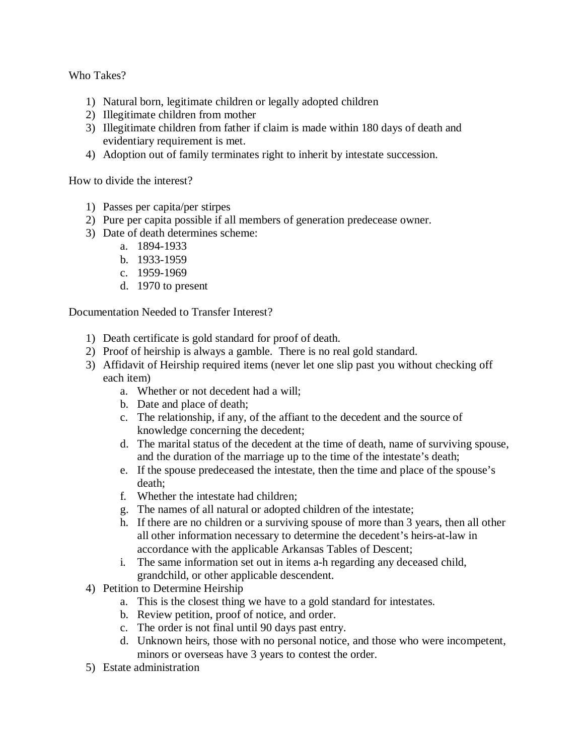Who Takes?

- 1) Natural born, legitimate children or legally adopted children
- 2) Illegitimate children from mother
- 3) Illegitimate children from father if claim is made within 180 days of death and evidentiary requirement is met.
- 4) Adoption out of family terminates right to inherit by intestate succession.

How to divide the interest?

- 1) Passes per capita/per stirpes
- 2) Pure per capita possible if all members of generation predecease owner.
- 3) Date of death determines scheme:
	- a. 1894-1933
	- b. 1933-1959
	- c. 1959-1969
	- d. 1970 to present

Documentation Needed to Transfer Interest?

- 1) Death certificate is gold standard for proof of death.
- 2) Proof of heirship is always a gamble. There is no real gold standard.
- 3) Affidavit of Heirship required items (never let one slip past you without checking off each item)
	- a. Whether or not decedent had a will;
	- b. Date and place of death;
	- c. The relationship, if any, of the affiant to the decedent and the source of knowledge concerning the decedent;
	- d. The marital status of the decedent at the time of death, name of surviving spouse, and the duration of the marriage up to the time of the intestate's death;
	- e. If the spouse predeceased the intestate, then the time and place of the spouse's death;
	- f. Whether the intestate had children;
	- g. The names of all natural or adopted children of the intestate;
	- h. If there are no children or a surviving spouse of more than 3 years, then all other all other information necessary to determine the decedent's heirs-at-law in accordance with the applicable Arkansas Tables of Descent;
	- i. The same information set out in items a-h regarding any deceased child, grandchild, or other applicable descendent.
- 4) Petition to Determine Heirship
	- a. This is the closest thing we have to a gold standard for intestates.
	- b. Review petition, proof of notice, and order.
	- c. The order is not final until 90 days past entry.
	- d. Unknown heirs, those with no personal notice, and those who were incompetent, minors or overseas have 3 years to contest the order.
- 5) Estate administration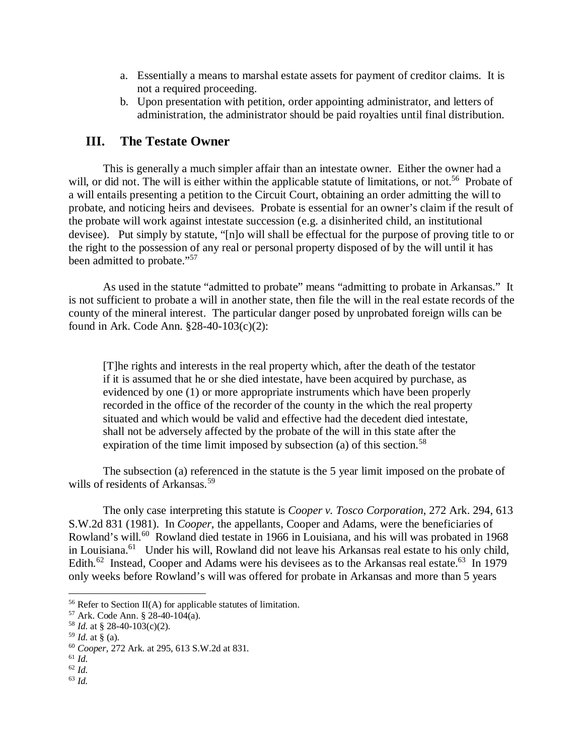- a. Essentially a means to marshal estate assets for payment of creditor claims. It is not a required proceeding.
- b. Upon presentation with petition, order appointing administrator, and letters of administration, the administrator should be paid royalties until final distribution.

## **III. The Testate Owner**

This is generally a much simpler affair than an intestate owner. Either the owner had a will, or did not. The will is either within the applicable statute of limitations, or not.<sup>56</sup> Probate of a will entails presenting a petition to the Circuit Court, obtaining an order admitting the will to probate, and noticing heirs and devisees. Probate is essential for an owner's claim if the result of the probate will work against intestate succession (e.g. a disinherited child, an institutional devisee). Put simply by statute, "[n]o will shall be effectual for the purpose of proving title to or the right to the possession of any real or personal property disposed of by the will until it has been admitted to probate."<sup>57</sup>

As used in the statute "admitted to probate" means "admitting to probate in Arkansas." It is not sufficient to probate a will in another state, then file the will in the real estate records of the county of the mineral interest. The particular danger posed by unprobated foreign wills can be found in Ark. Code Ann. §28-40-103(c)(2):

[T]he rights and interests in the real property which, after the death of the testator if it is assumed that he or she died intestate, have been acquired by purchase, as evidenced by one (1) or more appropriate instruments which have been properly recorded in the office of the recorder of the county in the which the real property situated and which would be valid and effective had the decedent died intestate, shall not be adversely affected by the probate of the will in this state after the expiration of the time limit imposed by subsection (a) of this section.<sup>58</sup>

The subsection (a) referenced in the statute is the 5 year limit imposed on the probate of wills of residents of Arkansas.<sup>59</sup>

The only case interpreting this statute is *Cooper v. Tosco Corporation*, 272 Ark. 294, 613 S.W.2d 831 (1981). In *Cooper*, the appellants, Cooper and Adams, were the beneficiaries of Rowland's will.<sup>60</sup> Rowland died testate in 1966 in Louisiana, and his will was probated in 1968 in Louisiana.<sup>61</sup> Under his will, Rowland did not leave his Arkansas real estate to his only child, Edith.<sup>62</sup> Instead, Cooper and Adams were his devisees as to the Arkansas real estate.<sup>63</sup> In 1979 only weeks before Rowland's will was offered for probate in Arkansas and more than 5 years

<sup>63</sup> *Id.*

<sup>&</sup>lt;sup>56</sup> Refer to Section II(A) for applicable statutes of limitation.

<sup>57</sup> Ark. Code Ann. § 28-40-104(a).

<sup>58</sup> *Id.* at § 28-40-103(c)(2).

 $59$  *Id.* at § (a).

<sup>60</sup> *Cooper*, 272 Ark. at 295, 613 S.W.2d at 831.

<sup>61</sup> *Id.*

<sup>62</sup> *Id.*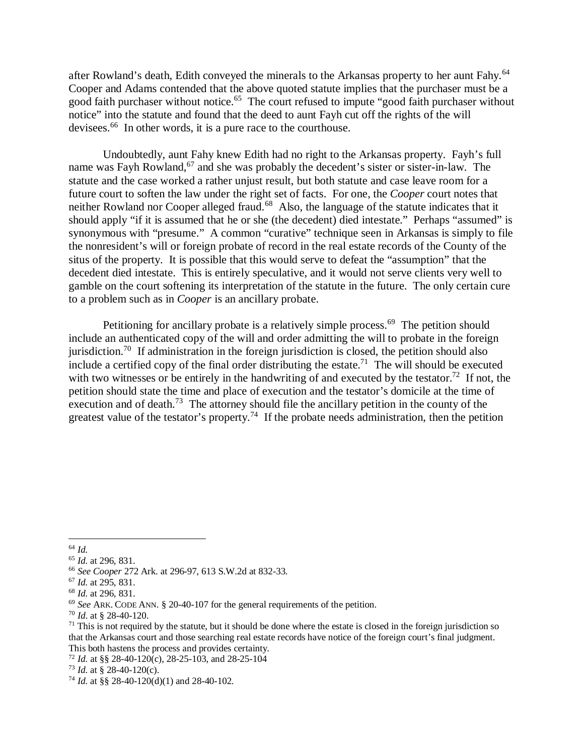after Rowland's death, Edith conveyed the minerals to the Arkansas property to her aunt Fahy.<sup>64</sup> Cooper and Adams contended that the above quoted statute implies that the purchaser must be a good faith purchaser without notice.<sup>65</sup> The court refused to impute "good faith purchaser without notice" into the statute and found that the deed to aunt Fayh cut off the rights of the will devisees.<sup>66</sup> In other words, it is a pure race to the courthouse.

Undoubtedly, aunt Fahy knew Edith had no right to the Arkansas property. Fayh's full name was Fayh Rowland,<sup>67</sup> and she was probably the decedent's sister or sister-in-law. The statute and the case worked a rather unjust result, but both statute and case leave room for a future court to soften the law under the right set of facts. For one, the *Cooper* court notes that neither Rowland nor Cooper alleged fraud.<sup>68</sup> Also, the language of the statute indicates that it should apply "if it is assumed that he or she (the decedent) died intestate." Perhaps "assumed" is synonymous with "presume." A common "curative" technique seen in Arkansas is simply to file the nonresident's will or foreign probate of record in the real estate records of the County of the situs of the property. It is possible that this would serve to defeat the "assumption" that the decedent died intestate. This is entirely speculative, and it would not serve clients very well to gamble on the court softening its interpretation of the statute in the future. The only certain cure to a problem such as in *Cooper* is an ancillary probate.

Petitioning for ancillary probate is a relatively simple process.<sup>69</sup> The petition should include an authenticated copy of the will and order admitting the will to probate in the foreign jurisdiction.<sup>70</sup> If administration in the foreign jurisdiction is closed, the petition should also include a certified copy of the final order distributing the estate.<sup>71</sup> The will should be executed with two witnesses or be entirely in the handwriting of and executed by the testator.<sup>72</sup> If not, the petition should state the time and place of execution and the testator's domicile at the time of execution and of death.<sup>73</sup> The attorney should file the ancillary petition in the county of the greatest value of the testator's property.<sup>74</sup> If the probate needs administration, then the petition

<sup>64</sup> *Id.*

<sup>65</sup> *Id.* at 296, 831.

<sup>66</sup> *See Cooper* 272 Ark. at 296-97, 613 S.W.2d at 832-33.

<sup>67</sup> *Id.* at 295, 831.

<sup>68</sup> *Id.* at 296, 831.

<sup>69</sup> *See* ARK. CODE ANN. § 20-40-107 for the general requirements of the petition.

<sup>70</sup> *Id*. at § 28-40-120.

 $71$  This is not required by the statute, but it should be done where the estate is closed in the foreign jurisdiction so that the Arkansas court and those searching real estate records have notice of the foreign court's final judgment. This both hastens the process and provides certainty.

<sup>72</sup> *Id.* at §§ 28-40-120(c), 28-25-103, and 28-25-104

<sup>73</sup> *Id.* at § 28-40-120(c).

<sup>74</sup> *Id.* at §§ 28-40-120(d)(1) and 28-40-102.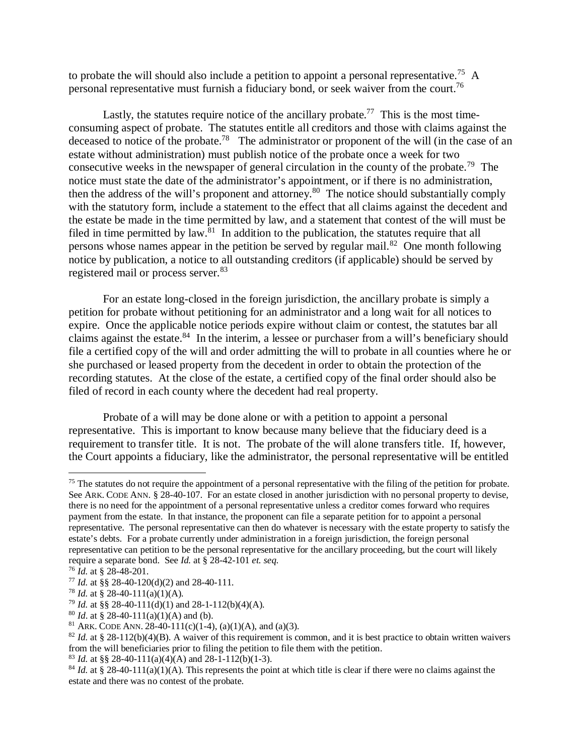to probate the will should also include a petition to appoint a personal representative.<sup>75</sup> A personal representative must furnish a fiduciary bond, or seek waiver from the court.<sup>76</sup>

Lastly, the statutes require notice of the ancillary probate.<sup>77</sup> This is the most timeconsuming aspect of probate. The statutes entitle all creditors and those with claims against the deceased to notice of the probate.<sup>78</sup> The administrator or proponent of the will (in the case of an estate without administration) must publish notice of the probate once a week for two consecutive weeks in the newspaper of general circulation in the county of the probate.<sup>79</sup> The notice must state the date of the administrator's appointment, or if there is no administration, then the address of the will's proponent and attorney.<sup>80</sup> The notice should substantially comply with the statutory form, include a statement to the effect that all claims against the decedent and the estate be made in the time permitted by law, and a statement that contest of the will must be filed in time permitted by law. $\frac{81}{10}$  In addition to the publication, the statutes require that all persons whose names appear in the petition be served by regular mail.<sup>82</sup> One month following notice by publication, a notice to all outstanding creditors (if applicable) should be served by registered mail or process server.<sup>83</sup>

For an estate long-closed in the foreign jurisdiction, the ancillary probate is simply a petition for probate without petitioning for an administrator and a long wait for all notices to expire. Once the applicable notice periods expire without claim or contest, the statutes bar all claims against the estate.<sup>84</sup> In the interim, a lessee or purchaser from a will's beneficiary should file a certified copy of the will and order admitting the will to probate in all counties where he or she purchased or leased property from the decedent in order to obtain the protection of the recording statutes. At the close of the estate, a certified copy of the final order should also be filed of record in each county where the decedent had real property.

Probate of a will may be done alone or with a petition to appoint a personal representative. This is important to know because many believe that the fiduciary deed is a requirement to transfer title. It is not. The probate of the will alone transfers title. If, however, the Court appoints a fiduciary, like the administrator, the personal representative will be entitled

 $75$  The statutes do not require the appointment of a personal representative with the filing of the petition for probate. See ARK. CODE ANN. § 28-40-107. For an estate closed in another jurisdiction with no personal property to devise, there is no need for the appointment of a personal representative unless a creditor comes forward who requires payment from the estate. In that instance, the proponent can file a separate petition for to appoint a personal representative. The personal representative can then do whatever is necessary with the estate property to satisfy the estate's debts. For a probate currently under administration in a foreign jurisdiction, the foreign personal representative can petition to be the personal representative for the ancillary proceeding, but the court will likely require a separate bond. See *Id.* at § 28-42-101 *et. seq*.

<sup>76</sup> *Id.* at § 28-48-201.

<sup>77</sup> *Id.* at §§ 28-40-120(d)(2) and 28-40-111.

<sup>78</sup> *Id.* at § 28-40-111(a)(1)(A).

<sup>&</sup>lt;sup>79</sup> *Id.* at §§ 28-40-111(d)(1) and 28-1-112(b)(4)(A).

<sup>&</sup>lt;sup>80</sup> *Id.* at § 28-40-111(a)(1)(A) and (b).

<sup>&</sup>lt;sup>81</sup> ARK. CODE ANN. 28-40-111(c)(1-4), (a)(1)(A), and (a)(3).

 $82$  *Id.* at § 28-112(b)(4)(B). A waiver of this requirement is common, and it is best practice to obtain written waivers from the will beneficiaries prior to filing the petition to file them with the petition.

<sup>&</sup>lt;sup>83</sup> *Id.* at §§ 28-40-111(a)(4)(A) and 28-1-112(b)(1-3).

 $84$  *Id.* at § 28-40-111(a)(1)(A). This represents the point at which title is clear if there were no claims against the estate and there was no contest of the probate.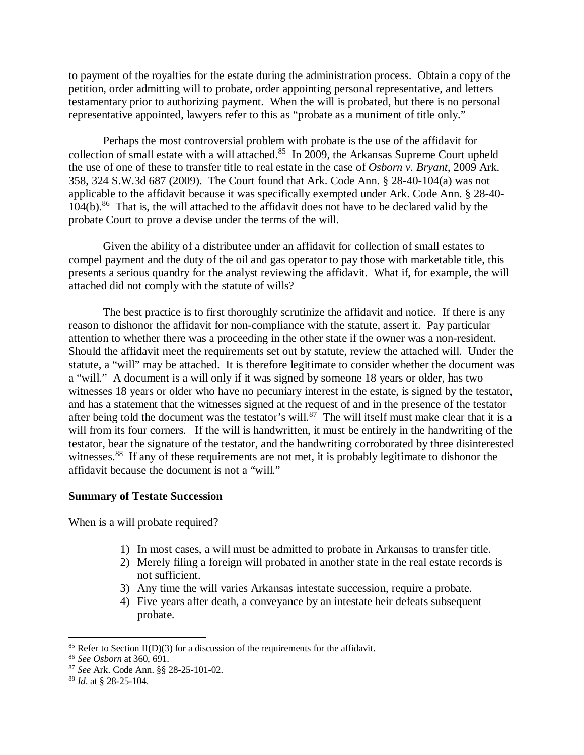to payment of the royalties for the estate during the administration process. Obtain a copy of the petition, order admitting will to probate, order appointing personal representative, and letters testamentary prior to authorizing payment. When the will is probated, but there is no personal representative appointed, lawyers refer to this as "probate as a muniment of title only."

Perhaps the most controversial problem with probate is the use of the affidavit for collection of small estate with a will attached.<sup>85</sup> In 2009, the Arkansas Supreme Court upheld the use of one of these to transfer title to real estate in the case of *Osborn v. Bryant*, 2009 Ark. 358, 324 S.W.3d 687 (2009). The Court found that Ark. Code Ann. § 28-40-104(a) was not applicable to the affidavit because it was specifically exempted under Ark. Code Ann. § 28-40- 104(b).<sup>86</sup> That is, the will attached to the affidavit does not have to be declared valid by the probate Court to prove a devise under the terms of the will.

Given the ability of a distributee under an affidavit for collection of small estates to compel payment and the duty of the oil and gas operator to pay those with marketable title, this presents a serious quandry for the analyst reviewing the affidavit. What if, for example, the will attached did not comply with the statute of wills?

The best practice is to first thoroughly scrutinize the affidavit and notice. If there is any reason to dishonor the affidavit for non-compliance with the statute, assert it. Pay particular attention to whether there was a proceeding in the other state if the owner was a non-resident. Should the affidavit meet the requirements set out by statute, review the attached will. Under the statute, a "will" may be attached. It is therefore legitimate to consider whether the document was a "will." A document is a will only if it was signed by someone 18 years or older, has two witnesses 18 years or older who have no pecuniary interest in the estate, is signed by the testator, and has a statement that the witnesses signed at the request of and in the presence of the testator after being told the document was the testator's will.<sup>87</sup> The will itself must make clear that it is a will from its four corners. If the will is handwritten, it must be entirely in the handwriting of the testator, bear the signature of the testator, and the handwriting corroborated by three disinterested witnesses.<sup>88</sup> If any of these requirements are not met, it is probably legitimate to dishonor the affidavit because the document is not a "will."

#### **Summary of Testate Succession**

When is a will probate required?

- 1) In most cases, a will must be admitted to probate in Arkansas to transfer title.
- 2) Merely filing a foreign will probated in another state in the real estate records is not sufficient.
- 3) Any time the will varies Arkansas intestate succession, require a probate.
- 4) Five years after death, a conveyance by an intestate heir defeats subsequent probate.

<sup>&</sup>lt;sup>85</sup> Refer to Section II(D)(3) for a discussion of the requirements for the affidavit.

<sup>86</sup> *See Osborn* at 360, 691.

<sup>87</sup> *See* Ark. Code Ann. §§ 28-25-101-02.

<sup>88</sup> *Id*. at § 28-25-104.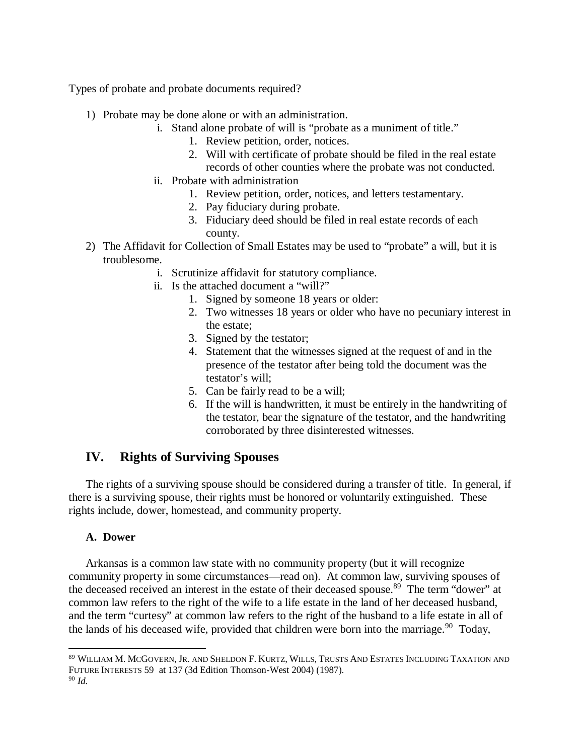Types of probate and probate documents required?

- 1) Probate may be done alone or with an administration.
	- i. Stand alone probate of will is "probate as a muniment of title."
		- 1. Review petition, order, notices.
		- 2. Will with certificate of probate should be filed in the real estate records of other counties where the probate was not conducted.
	- ii. Probate with administration
		- 1. Review petition, order, notices, and letters testamentary.
		- 2. Pay fiduciary during probate.
		- 3. Fiduciary deed should be filed in real estate records of each county.
- 2) The Affidavit for Collection of Small Estates may be used to "probate" a will, but it is troublesome.
	- i. Scrutinize affidavit for statutory compliance.
	- ii. Is the attached document a "will?"
		- 1. Signed by someone 18 years or older:
		- 2. Two witnesses 18 years or older who have no pecuniary interest in the estate;
		- 3. Signed by the testator;
		- 4. Statement that the witnesses signed at the request of and in the presence of the testator after being told the document was the testator's will;
		- 5. Can be fairly read to be a will;
		- 6. If the will is handwritten, it must be entirely in the handwriting of the testator, bear the signature of the testator, and the handwriting corroborated by three disinterested witnesses.

# **IV. Rights of Surviving Spouses**

The rights of a surviving spouse should be considered during a transfer of title. In general, if there is a surviving spouse, their rights must be honored or voluntarily extinguished. These rights include, dower, homestead, and community property.

## **A. Dower**

Arkansas is a common law state with no community property (but it will recognize community property in some circumstances—read on). At common law, surviving spouses of the deceased received an interest in the estate of their deceased spouse.<sup>89</sup> The term "dower" at common law refers to the right of the wife to a life estate in the land of her deceased husband, and the term "curtesy" at common law refers to the right of the husband to a life estate in all of the lands of his deceased wife, provided that children were born into the marriage.<sup>90</sup> Today,

<sup>89</sup> WILLIAM M. MCGOVERN, JR. AND SHELDON F. KURTZ, WILLS, TRUSTS AND ESTATES INCLUDING TAXATION AND FUTURE INTERESTS 59 at 137 (3d Edition Thomson-West 2004) (1987).

<sup>90</sup> *Id.*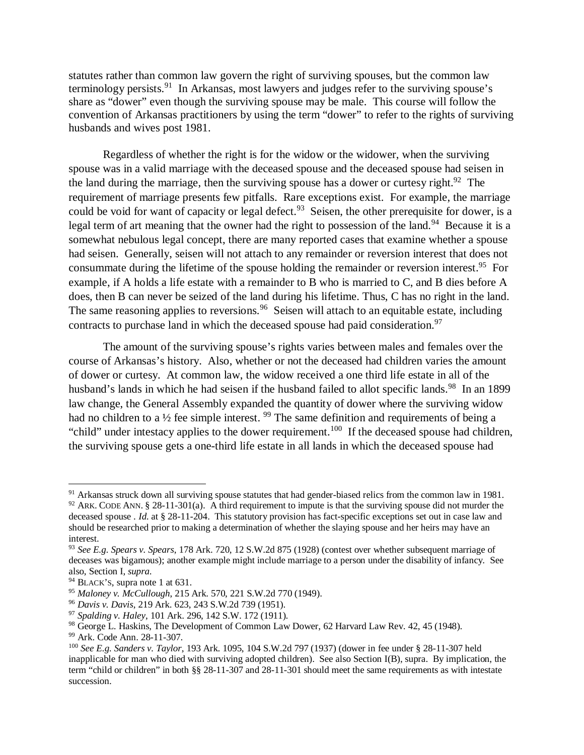statutes rather than common law govern the right of surviving spouses, but the common law terminology persists.<sup>91</sup> In Arkansas, most lawyers and judges refer to the surviving spouse's share as "dower" even though the surviving spouse may be male. This course will follow the convention of Arkansas practitioners by using the term "dower" to refer to the rights of surviving husbands and wives post 1981.

Regardless of whether the right is for the widow or the widower, when the surviving spouse was in a valid marriage with the deceased spouse and the deceased spouse had seisen in the land during the marriage, then the surviving spouse has a dower or curtesy right.<sup>92</sup> The requirement of marriage presents few pitfalls. Rare exceptions exist. For example, the marriage could be void for want of capacity or legal defect.<sup>93</sup> Seisen, the other prerequisite for dower, is a legal term of art meaning that the owner had the right to possession of the land.<sup>94</sup> Because it is a somewhat nebulous legal concept, there are many reported cases that examine whether a spouse had seisen. Generally, seisen will not attach to any remainder or reversion interest that does not consummate during the lifetime of the spouse holding the remainder or reversion interest.<sup>95</sup> For example, if A holds a life estate with a remainder to B who is married to C, and B dies before A does, then B can never be seized of the land during his lifetime. Thus, C has no right in the land. The same reasoning applies to reversions.  $96$  Seisen will attach to an equitable estate, including contracts to purchase land in which the deceased spouse had paid consideration.<sup>97</sup>

The amount of the surviving spouse's rights varies between males and females over the course of Arkansas's history. Also, whether or not the deceased had children varies the amount of dower or curtesy. At common law, the widow received a one third life estate in all of the husband's lands in which he had seisen if the husband failed to allot specific lands.<sup>98</sup> In an 1899 law change, the General Assembly expanded the quantity of dower where the surviving widow had no children to a  $\frac{1}{2}$  fee simple interest. <sup>99</sup> The same definition and requirements of being a "child" under intestacy applies to the dower requirement.<sup>100</sup> If the deceased spouse had children, the surviving spouse gets a one-third life estate in all lands in which the deceased spouse had

 $91$  Arkansas struck down all surviving spouse statutes that had gender-biased relics from the common law in 1981.  $92$  ARK. CODE ANN. § 28-11-301(a). A third requirement to impute is that the surviving spouse did not murder the deceased spouse . *Id.* at § 28-11-204. This statutory provision has fact-specific exceptions set out in case law and should be researched prior to making a determination of whether the slaying spouse and her heirs may have an interest.

<sup>93</sup> *See E.g. Spears v. Spears*, 178 Ark. 720, 12 S.W.2d 875 (1928) (contest over whether subsequent marriage of deceases was bigamous); another example might include marriage to a person under the disability of infancy. See also, Section I, *supra*.

<sup>&</sup>lt;sup>94</sup> BLACK'S, supra note 1 at 631.

<sup>95</sup> *Maloney v. McCullough*, 215 Ark. 570, 221 S.W.2d 770 (1949).

<sup>96</sup> *Davis v. Davis*, 219 Ark. 623, 243 S.W.2d 739 (1951).

<sup>97</sup> *Spalding v. Haley*, 101 Ark. 296, 142 S.W. 172 (1911).

<sup>98</sup> George L. Haskins, The Development of Common Law Dower, 62 Harvard Law Rev. 42, 45 (1948).

<sup>99</sup> Ark. Code Ann. 28-11-307.

<sup>100</sup> *See E.g. Sanders v. Taylor*, 193 Ark. 1095, 104 S.W.2d 797 (1937) (dower in fee under § 28-11-307 held inapplicable for man who died with surviving adopted children). See also Section I(B), supra. By implication, the term "child or children" in both §§ 28-11-307 and 28-11-301 should meet the same requirements as with intestate succession.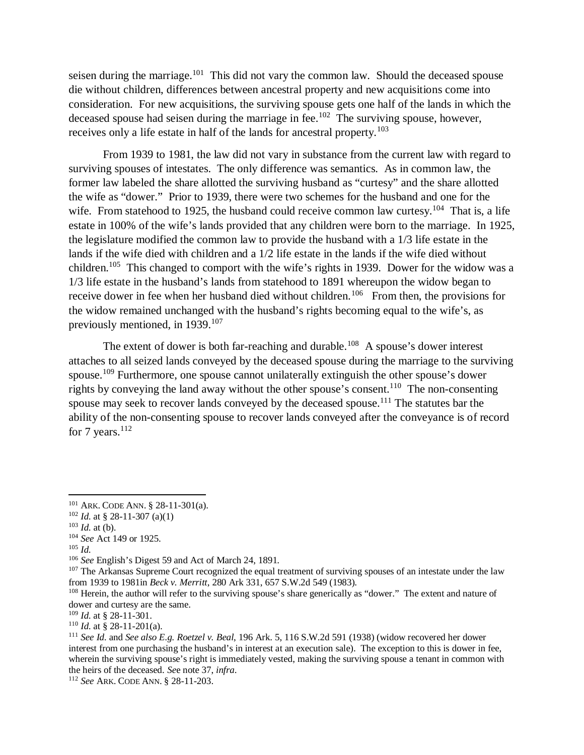seisen during the marriage.<sup>101</sup> This did not vary the common law. Should the deceased spouse die without children, differences between ancestral property and new acquisitions come into consideration. For new acquisitions, the surviving spouse gets one half of the lands in which the deceased spouse had seisen during the marriage in fee.<sup>102</sup> The surviving spouse, however, receives only a life estate in half of the lands for ancestral property.<sup>103</sup>

From 1939 to 1981, the law did not vary in substance from the current law with regard to surviving spouses of intestates. The only difference was semantics. As in common law, the former law labeled the share allotted the surviving husband as "curtesy" and the share allotted the wife as "dower." Prior to 1939, there were two schemes for the husband and one for the wife. From statehood to 1925, the husband could receive common law curtesy.<sup>104</sup> That is, a life estate in 100% of the wife's lands provided that any children were born to the marriage. In 1925, the legislature modified the common law to provide the husband with a 1/3 life estate in the lands if the wife died with children and a 1/2 life estate in the lands if the wife died without children.<sup>105</sup> This changed to comport with the wife's rights in 1939. Dower for the widow was a 1/3 life estate in the husband's lands from statehood to 1891 whereupon the widow began to receive dower in fee when her husband died without children.<sup>106</sup> From then, the provisions for the widow remained unchanged with the husband's rights becoming equal to the wife's, as previously mentioned, in 1939.<sup>107</sup>

The extent of dower is both far-reaching and durable.<sup>108</sup> A spouse's dower interest attaches to all seized lands conveyed by the deceased spouse during the marriage to the surviving spouse.<sup>109</sup> Furthermore, one spouse cannot unilaterally extinguish the other spouse's dower rights by conveying the land away without the other spouse's consent.<sup>110</sup> The non-consenting spouse may seek to recover lands conveyed by the deceased spouse.<sup>111</sup> The statutes bar the ability of the non-consenting spouse to recover lands conveyed after the conveyance is of record for 7 years. $112$ 

<sup>105</sup> *Id.*

<sup>106</sup> *See* English's Digest 59 and Act of March 24, 1891.

<sup>101</sup> ARK. CODE ANN. § 28-11-301(a).

<sup>102</sup> *Id.* at § 28-11-307 (a)(1)

 $103$  *Id.* at (b).

<sup>104</sup> *See* Act 149 or 1925.

<sup>&</sup>lt;sup>107</sup> The Arkansas Supreme Court recognized the equal treatment of surviving spouses of an intestate under the law from 1939 to 1981in *Beck v. Merritt*, 280 Ark 331, 657 S.W.2d 549 (1983).

<sup>108</sup> Herein, the author will refer to the surviving spouse's share generically as "dower." The extent and nature of dower and curtesy are the same.

<sup>109</sup> *Id.* at § 28-11-301.

 $110$  *Id.* at § 28-11-201(a).

<sup>111</sup> *See Id.* and *See also E.g. Roetzel v. Beal*, 196 Ark. 5, 116 S.W.2d 591 (1938) (widow recovered her dower interest from one purchasing the husband's in interest at an execution sale). The exception to this is dower in fee, wherein the surviving spouse's right is immediately vested, making the surviving spouse a tenant in common with the heirs of the deceased. *Se*e note 37, *infra*.

<sup>112</sup> *See* ARK. CODE ANN. § 28-11-203.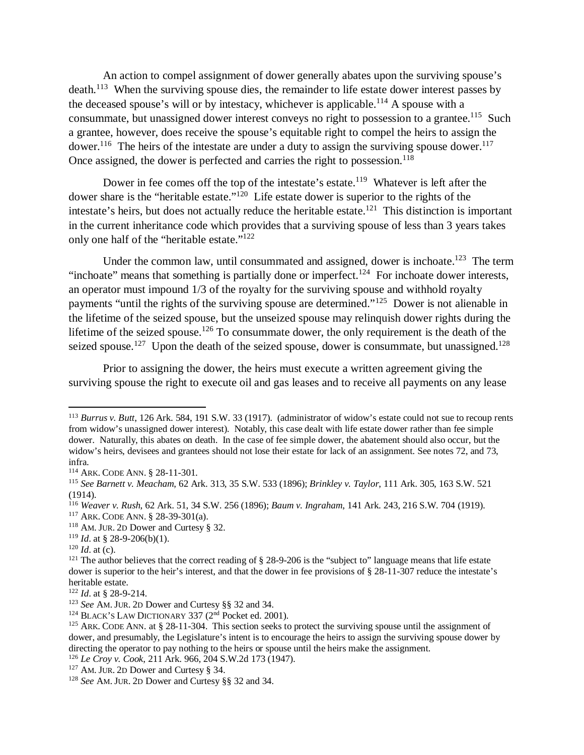An action to compel assignment of dower generally abates upon the surviving spouse's death.<sup>113</sup> When the surviving spouse dies, the remainder to life estate dower interest passes by the deceased spouse's will or by intestacy, whichever is applicable.<sup>114</sup> A spouse with a consummate, but unassigned dower interest conveys no right to possession to a grantee.<sup>115</sup> Such a grantee, however, does receive the spouse's equitable right to compel the heirs to assign the dower.<sup>116</sup> The heirs of the intestate are under a duty to assign the surviving spouse dower.<sup>117</sup> Once assigned, the dower is perfected and carries the right to possession.<sup>118</sup>

Dower in fee comes off the top of the intestate's estate.<sup>119</sup> Whatever is left after the dower share is the "heritable estate."<sup>120</sup> Life estate dower is superior to the rights of the intestate's heirs, but does not actually reduce the heritable estate.<sup>121</sup> This distinction is important in the current inheritance code which provides that a surviving spouse of less than 3 years takes only one half of the "heritable estate."<sup>122</sup>

Under the common law, until consummated and assigned, dower is inchoate.<sup>123</sup> The term "inchoate" means that something is partially done or imperfect.<sup>124</sup> For inchoate dower interests, an operator must impound 1/3 of the royalty for the surviving spouse and withhold royalty payments "until the rights of the surviving spouse are determined."<sup>125</sup> Dower is not alienable in the lifetime of the seized spouse, but the unseized spouse may relinquish dower rights during the lifetime of the seized spouse.<sup>126</sup> To consummate dower, the only requirement is the death of the seized spouse.<sup>127</sup> Upon the death of the seized spouse, dower is consummate, but unassigned.<sup>128</sup>

Prior to assigning the dower, the heirs must execute a written agreement giving the surviving spouse the right to execute oil and gas leases and to receive all payments on any lease

<sup>113</sup> *Burrus v. Butt*, 126 Ark. 584, 191 S.W. 33 (1917). (administrator of widow's estate could not sue to recoup rents from widow's unassigned dower interest). Notably, this case dealt with life estate dower rather than fee simple dower. Naturally, this abates on death. In the case of fee simple dower, the abatement should also occur, but the widow's heirs, devisees and grantees should not lose their estate for lack of an assignment. See notes 72, and 73, infra.

<sup>114</sup> ARK. CODE ANN. § 28-11-301.

<sup>115</sup> *See Barnett v. Meacham*, 62 Ark. 313, 35 S.W. 533 (1896); *Brinkley v. Taylor*, 111 Ark. 305, 163 S.W. 521 (1914).

<sup>116</sup> *Weaver v. Rush*, 62 Ark. 51, 34 S.W. 256 (1896); *Baum v. Ingraham*, 141 Ark. 243, 216 S.W. 704 (1919).

<sup>117</sup> ARK. CODE ANN. § 28-39-301(a).

<sup>118</sup> AM. JUR. 2D Dower and Curtesy § 32.

<sup>119</sup> *Id*. at § 28-9-206(b)(1).

 $120$  *Id.* at (c).

<sup>&</sup>lt;sup>121</sup> The author believes that the correct reading of  $\S$  28-9-206 is the "subject to" language means that life estate dower is superior to the heir's interest, and that the dower in fee provisions of § 28-11-307 reduce the intestate's heritable estate.

<sup>122</sup> *Id*. at § 28-9-214.

<sup>123</sup> *See* AM. JUR. 2D Dower and Curtesy §§ 32 and 34.

<sup>&</sup>lt;sup>124</sup> BLACK'S LAW DICTIONARY 337 ( $2<sup>nd</sup>$  Pocket ed. 2001).

<sup>&</sup>lt;sup>125</sup> ARK. CODE ANN. at § 28-11-304. This section seeks to protect the surviving spouse until the assignment of dower, and presumably, the Legislature's intent is to encourage the heirs to assign the surviving spouse dower by directing the operator to pay nothing to the heirs or spouse until the heirs make the assignment.

<sup>126</sup> *Le Croy v. Cook*, 211 Ark. 966, 204 S.W.2d 173 (1947).

<sup>127</sup> AM. JUR. 2D Dower and Curtesy § 34.

<sup>128</sup> *See* AM. JUR. 2D Dower and Curtesy §§ 32 and 34.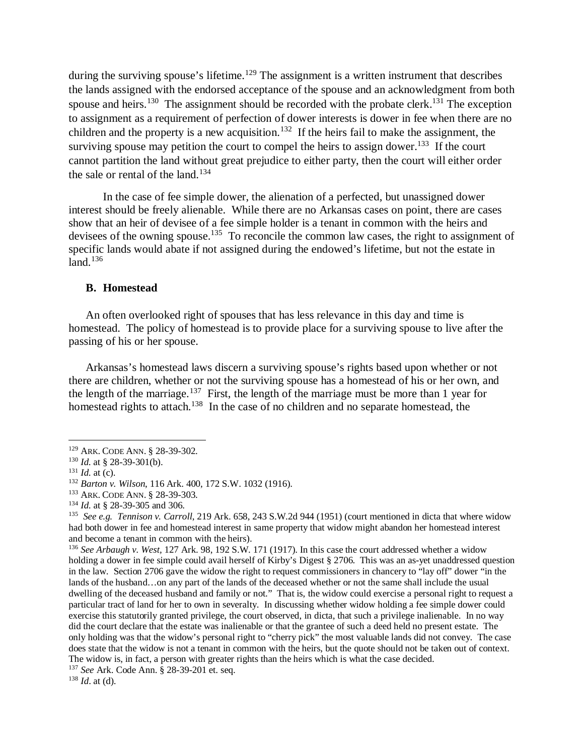during the surviving spouse's lifetime.<sup>129</sup> The assignment is a written instrument that describes the lands assigned with the endorsed acceptance of the spouse and an acknowledgment from both spouse and heirs.<sup>130</sup> The assignment should be recorded with the probate clerk.<sup>131</sup> The exception to assignment as a requirement of perfection of dower interests is dower in fee when there are no children and the property is a new acquisition.<sup>132</sup> If the heirs fail to make the assignment, the surviving spouse may petition the court to compel the heirs to assign dower.<sup>133</sup> If the court cannot partition the land without great prejudice to either party, then the court will either order the sale or rental of the land.<sup>134</sup>

In the case of fee simple dower, the alienation of a perfected, but unassigned dower interest should be freely alienable. While there are no Arkansas cases on point, there are cases show that an heir of devisee of a fee simple holder is a tenant in common with the heirs and devisees of the owning spouse.<sup>135</sup> To reconcile the common law cases, the right to assignment of specific lands would abate if not assigned during the endowed's lifetime, but not the estate in land. $136$ 

#### **B. Homestead**

An often overlooked right of spouses that has less relevance in this day and time is homestead. The policy of homestead is to provide place for a surviving spouse to live after the passing of his or her spouse.

Arkansas's homestead laws discern a surviving spouse's rights based upon whether or not there are children, whether or not the surviving spouse has a homestead of his or her own, and the length of the marriage.<sup>137</sup> First, the length of the marriage must be more than 1 year for homestead rights to attach.<sup>138</sup> In the case of no children and no separate homestead, the

<sup>129</sup> ARK. CODE ANN. § 28-39-302.

<sup>130</sup> *Id.* at § 28-39-301(b).

 $131$  *Id.* at (c).

<sup>132</sup> *Barton v. Wilson*, 116 Ark. 400, 172 S.W. 1032 (1916).

<sup>133</sup> ARK. CODE ANN. § 28-39-303.

<sup>134</sup> *Id.* at § 28-39-305 and 306.

<sup>135</sup> *See e.g. Tennison v. Carroll*, 219 Ark. 658, 243 S.W.2d 944 (1951) (court mentioned in dicta that where widow had both dower in fee and homestead interest in same property that widow might abandon her homestead interest and become a tenant in common with the heirs).

<sup>136</sup> *See Arbaugh v. West,* 127 Ark. 98, 192 S.W. 171 (1917). In this case the court addressed whether a widow holding a dower in fee simple could avail herself of Kirby's Digest § 2706. This was an as-yet unaddressed question in the law. Section 2706 gave the widow the right to request commissioners in chancery to "lay off" dower "in the lands of the husband…on any part of the lands of the deceased whether or not the same shall include the usual dwelling of the deceased husband and family or not." That is, the widow could exercise a personal right to request a particular tract of land for her to own in severalty. In discussing whether widow holding a fee simple dower could exercise this statutorily granted privilege, the court observed, in dicta, that such a privilege inalienable. In no way did the court declare that the estate was inalienable or that the grantee of such a deed held no present estate. The only holding was that the widow's personal right to "cherry pick" the most valuable lands did not convey. The case does state that the widow is not a tenant in common with the heirs, but the quote should not be taken out of context. The widow is, in fact, a person with greater rights than the heirs which is what the case decided.

<sup>137</sup> *See* Ark. Code Ann. § 28-39-201 et. seq.

<sup>138</sup> *Id*. at (d).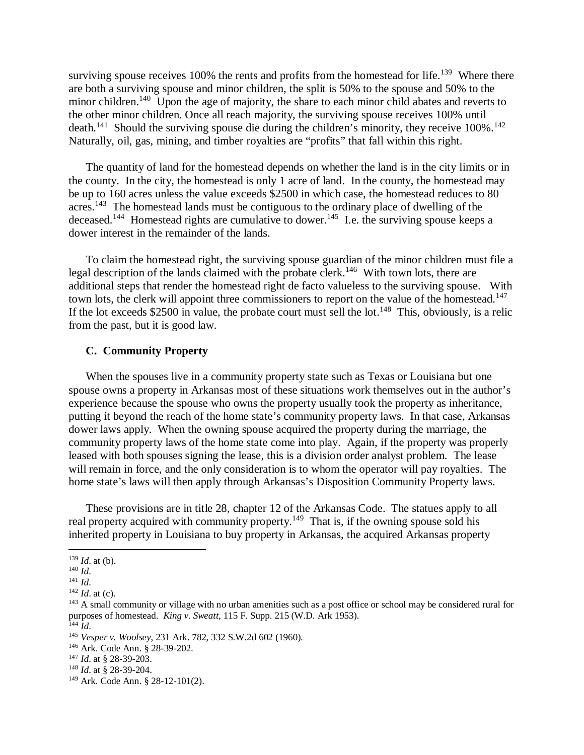surviving spouse receives 100% the rents and profits from the homestead for life.<sup>139</sup> Where there are both a surviving spouse and minor children, the split is 50% to the spouse and 50% to the minor children.<sup>140</sup> Upon the age of majority, the share to each minor child abates and reverts to the other minor children. Once all reach majority, the surviving spouse receives 100% until death.<sup>141</sup> Should the surviving spouse die during the children's minority, they receive  $100\%$ .<sup>142</sup> Naturally, oil, gas, mining, and timber royalties are "profits" that fall within this right.

The quantity of land for the homestead depends on whether the land is in the city limits or in the county. In the city, the homestead is only 1 acre of land. In the county, the homestead may be up to 160 acres unless the value exceeds \$2500 in which case, the homestead reduces to 80 acres.<sup>143</sup> The homestead lands must be contiguous to the ordinary place of dwelling of the deceased.<sup>144</sup> Homestead rights are cumulative to dower.<sup>145</sup> I.e. the surviving spouse keeps a dower interest in the remainder of the lands.

To claim the homestead right, the surviving spouse guardian of the minor children must file a legal description of the lands claimed with the probate clerk.<sup>146</sup> With town lots, there are additional steps that render the homestead right de facto valueless to the surviving spouse. With town lots, the clerk will appoint three commissioners to report on the value of the homestead.<sup>147</sup> If the lot exceeds \$2500 in value, the probate court must sell the lot.<sup>148</sup> This, obviously, is a relic from the past, but it is good law.

#### **C. Community Property**

When the spouses live in a community property state such as Texas or Louisiana but one spouse owns a property in Arkansas most of these situations work themselves out in the author's experience because the spouse who owns the property usually took the property as inheritance, putting it beyond the reach of the home state's community property laws. In that case, Arkansas dower laws apply. When the owning spouse acquired the property during the marriage, the community property laws of the home state come into play. Again, if the property was properly leased with both spouses signing the lease, this is a division order analyst problem. The lease will remain in force, and the only consideration is to whom the operator will pay royalties. The home state's laws will then apply through Arkansas's Disposition Community Property laws.

These provisions are in title 28, chapter 12 of the Arkansas Code. The statues apply to all real property acquired with community property.<sup>149</sup> That is, if the owning spouse sold his inherited property in Louisiana to buy property in Arkansas, the acquired Arkansas property

<sup>139</sup> *Id*. at (b).

<sup>140</sup> *Id*.

<sup>141</sup> *Id*.

<sup>142</sup> *Id*. at (c).

<sup>&</sup>lt;sup>143</sup> A small community or village with no urban amenities such as a post office or school may be considered rural for purposes of homestead. *King v. Sweatt*, 115 F. Supp. 215 (W.D. Ark 1953).

<sup>144</sup> *Id*.

<sup>145</sup> *Vesper v. Woolsey*, 231 Ark. 782, 332 S.W.2d 602 (1960).

<sup>146</sup> Ark. Code Ann. § 28-39-202.

<sup>147</sup> *Id*. at § 28-39-203.

<sup>148</sup> *Id*. at § 28-39-204.

<sup>149</sup> Ark. Code Ann. § 28-12-101(2).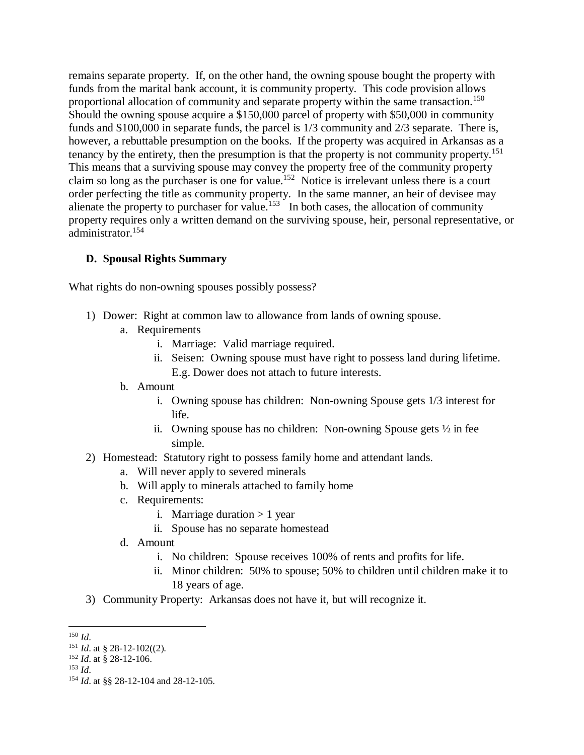remains separate property. If, on the other hand, the owning spouse bought the property with funds from the marital bank account, it is community property. This code provision allows proportional allocation of community and separate property within the same transaction.<sup>150</sup> Should the owning spouse acquire a \$150,000 parcel of property with \$50,000 in community funds and \$100,000 in separate funds, the parcel is 1/3 community and 2/3 separate. There is, however, a rebuttable presumption on the books. If the property was acquired in Arkansas as a tenancy by the entirety, then the presumption is that the property is not community property.<sup>151</sup> This means that a surviving spouse may convey the property free of the community property claim so long as the purchaser is one for value.<sup>152</sup> Notice is irrelevant unless there is a court order perfecting the title as community property. In the same manner, an heir of devisee may alienate the property to purchaser for value.<sup>153</sup> In both cases, the allocation of community property requires only a written demand on the surviving spouse, heir, personal representative, or administrator.<sup>154</sup>

## **D. Spousal Rights Summary**

What rights do non-owning spouses possibly possess?

- 1) Dower: Right at common law to allowance from lands of owning spouse.
	- a. Requirements
		- i. Marriage: Valid marriage required.
		- ii. Seisen: Owning spouse must have right to possess land during lifetime. E.g. Dower does not attach to future interests.
	- b. Amount
		- i. Owning spouse has children: Non-owning Spouse gets 1/3 interest for life.
		- ii. Owning spouse has no children: Non-owning Spouse gets ½ in fee simple.
- 2) Homestead: Statutory right to possess family home and attendant lands.
	- a. Will never apply to severed minerals
	- b. Will apply to minerals attached to family home
	- c. Requirements:
		- i. Marriage duration  $> 1$  year
		- ii. Spouse has no separate homestead
	- d. Amount
		- i. No children: Spouse receives 100% of rents and profits for life.
		- ii. Minor children: 50% to spouse; 50% to children until children make it to 18 years of age.
- 3) Community Property: Arkansas does not have it, but will recognize it.

<sup>150</sup> *Id*.

<sup>151</sup> *Id*. at § 28-12-102((2).

<sup>152</sup> *Id*. at § 28-12-106.

<sup>153</sup> *Id*.

<sup>154</sup> *Id*. at §§ 28-12-104 and 28-12-105.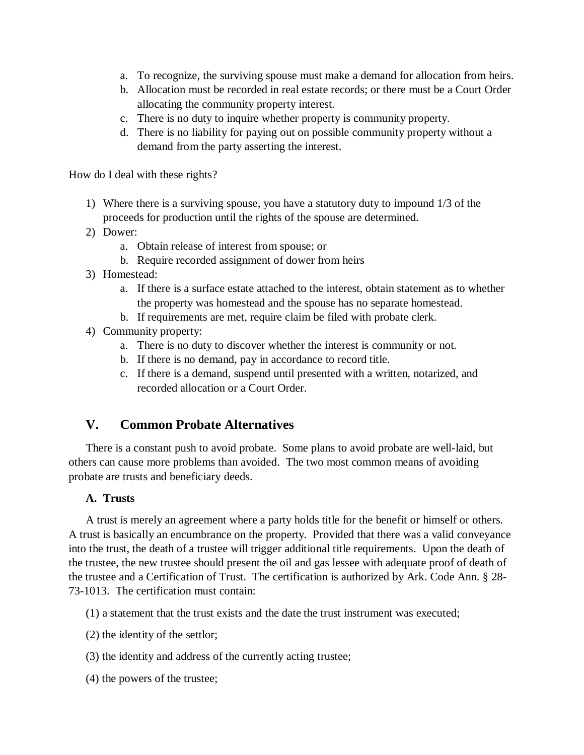- a. To recognize, the surviving spouse must make a demand for allocation from heirs.
- b. Allocation must be recorded in real estate records; or there must be a Court Order allocating the community property interest.
- c. There is no duty to inquire whether property is community property.
- d. There is no liability for paying out on possible community property without a demand from the party asserting the interest.

How do I deal with these rights?

- 1) Where there is a surviving spouse, you have a statutory duty to impound 1/3 of the proceeds for production until the rights of the spouse are determined.
- 2) Dower:
	- a. Obtain release of interest from spouse; or
	- b. Require recorded assignment of dower from heirs
- 3) Homestead:
	- a. If there is a surface estate attached to the interest, obtain statement as to whether the property was homestead and the spouse has no separate homestead.
	- b. If requirements are met, require claim be filed with probate clerk.
- 4) Community property:
	- a. There is no duty to discover whether the interest is community or not.
	- b. If there is no demand, pay in accordance to record title.
	- c. If there is a demand, suspend until presented with a written, notarized, and recorded allocation or a Court Order.

# **V. Common Probate Alternatives**

There is a constant push to avoid probate. Some plans to avoid probate are well-laid, but others can cause more problems than avoided. The two most common means of avoiding probate are trusts and beneficiary deeds.

## **A. Trusts**

A trust is merely an agreement where a party holds title for the benefit or himself or others. A trust is basically an encumbrance on the property. Provided that there was a valid conveyance into the trust, the death of a trustee will trigger additional title requirements. Upon the death of the trustee, the new trustee should present the oil and gas lessee with adequate proof of death of the trustee and a Certification of Trust. The certification is authorized by Ark. Code Ann. § 28- 73-1013. The certification must contain:

(1) a statement that the trust exists and the date the trust instrument was executed;

- (2) the identity of the settlor;
- (3) the identity and address of the currently acting trustee;
- (4) the powers of the trustee;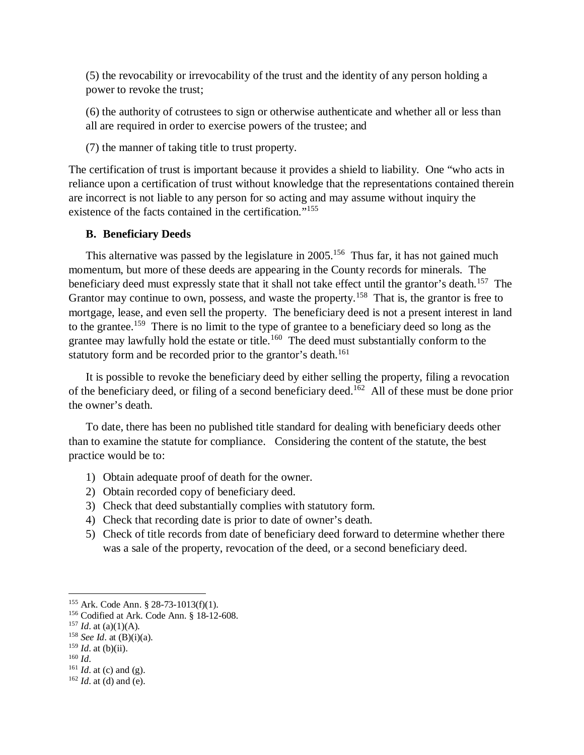(5) the revocability or irrevocability of the trust and the identity of any person holding a power to revoke the trust;

(6) the authority of cotrustees to sign or otherwise authenticate and whether all or less than all are required in order to exercise powers of the trustee; and

(7) the manner of taking title to trust property.

The certification of trust is important because it provides a shield to liability. One "who acts in reliance upon a certification of trust without knowledge that the representations contained therein are incorrect is not liable to any person for so acting and may assume without inquiry the existence of the facts contained in the certification."<sup>155</sup>

#### **B. Beneficiary Deeds**

This alternative was passed by the legislature in  $2005$ .<sup>156</sup> Thus far, it has not gained much momentum, but more of these deeds are appearing in the County records for minerals. The beneficiary deed must expressly state that it shall not take effect until the grantor's death.<sup>157</sup> The Grantor may continue to own, possess, and waste the property.<sup>158</sup> That is, the grantor is free to mortgage, lease, and even sell the property. The beneficiary deed is not a present interest in land to the grantee.<sup>159</sup> There is no limit to the type of grantee to a beneficiary deed so long as the grantee may lawfully hold the estate or title.<sup>160</sup> The deed must substantially conform to the statutory form and be recorded prior to the grantor's death.<sup>161</sup>

It is possible to revoke the beneficiary deed by either selling the property, filing a revocation of the beneficiary deed, or filing of a second beneficiary deed.<sup>162</sup> All of these must be done prior the owner's death.

To date, there has been no published title standard for dealing with beneficiary deeds other than to examine the statute for compliance. Considering the content of the statute, the best practice would be to:

- 1) Obtain adequate proof of death for the owner.
- 2) Obtain recorded copy of beneficiary deed.
- 3) Check that deed substantially complies with statutory form.
- 4) Check that recording date is prior to date of owner's death.
- 5) Check of title records from date of beneficiary deed forward to determine whether there was a sale of the property, revocation of the deed, or a second beneficiary deed.

<sup>155</sup> Ark. Code Ann. § 28-73-1013(f)(1).

<sup>156</sup> Codified at Ark. Code Ann. § 18-12-608.

 $157$  *Id.* at (a)(1)(A).

<sup>158</sup> *See Id*. at (B)(i)(a).

<sup>159</sup> *Id*. at (b)(ii).

<sup>160</sup> *Id*.

<sup>161</sup> *Id*. at (c) and (g).

<sup>162</sup> *Id*. at (d) and (e).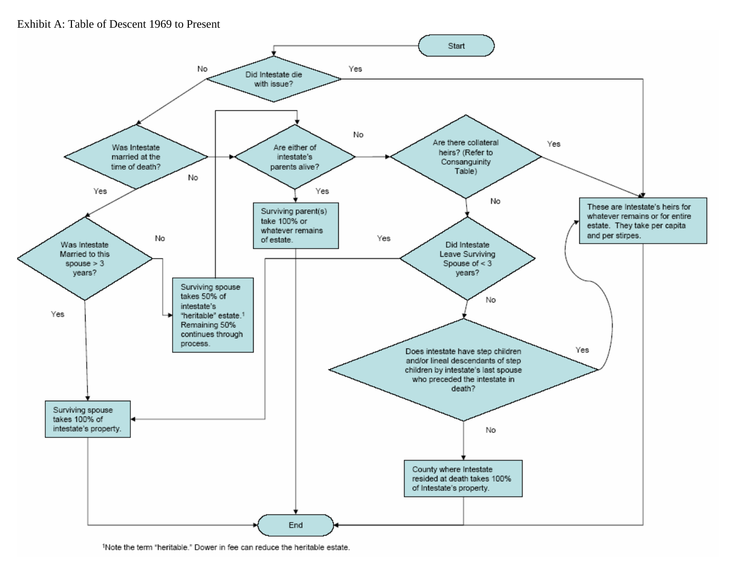## Exhibit A: Table of Descent 1969 to Present



<sup>1</sup>Note the term "heritable." Dower in fee can reduce the heritable estate.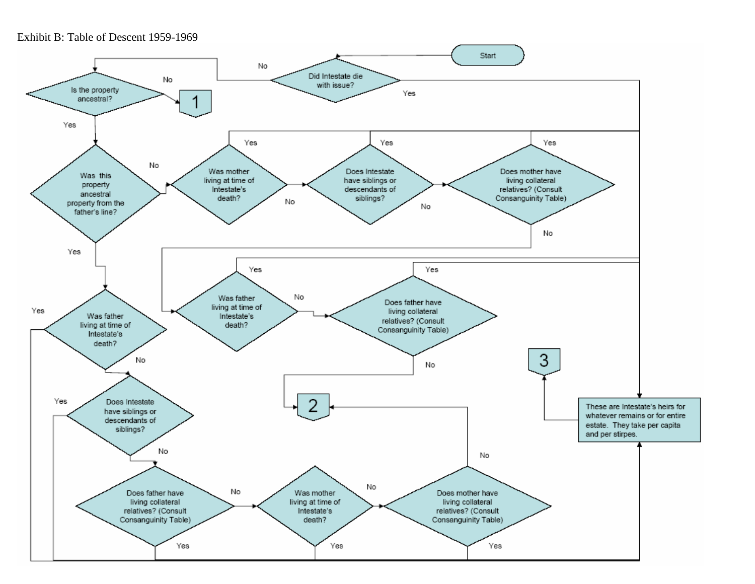Exhibit B: Table of Descent 1959-1969

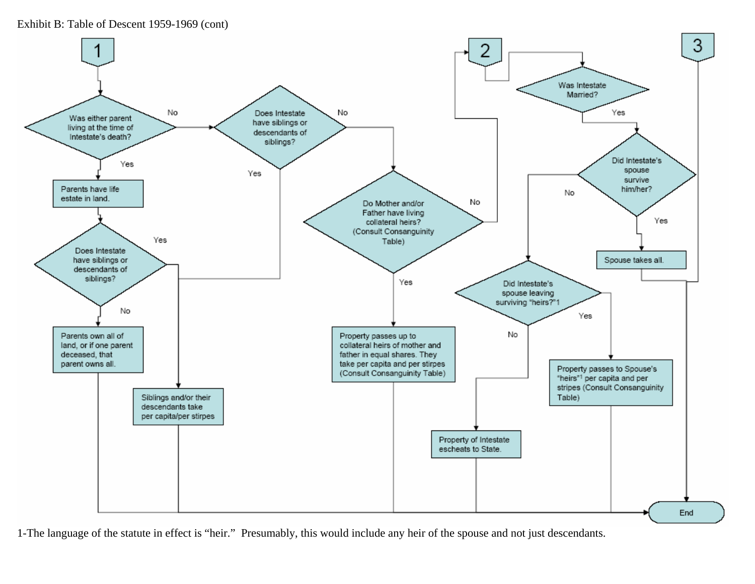Exhibit B: Table of Descent 1959-1969 (cont)



1-The language of the statute in effect is "heir." Presumably, this would include any heir of the spouse and not just descendants.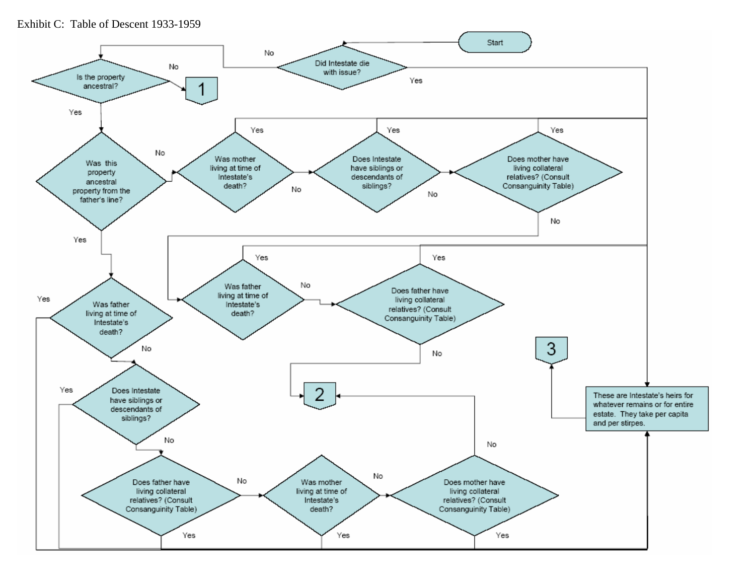Exhibit C: Table of Descent 1933-1959

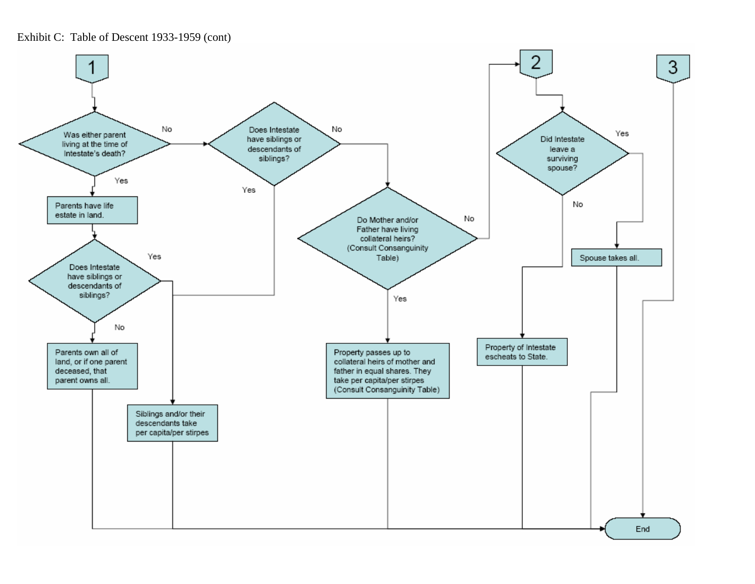Exhibit C: Table of Descent 1933-1959 (cont)

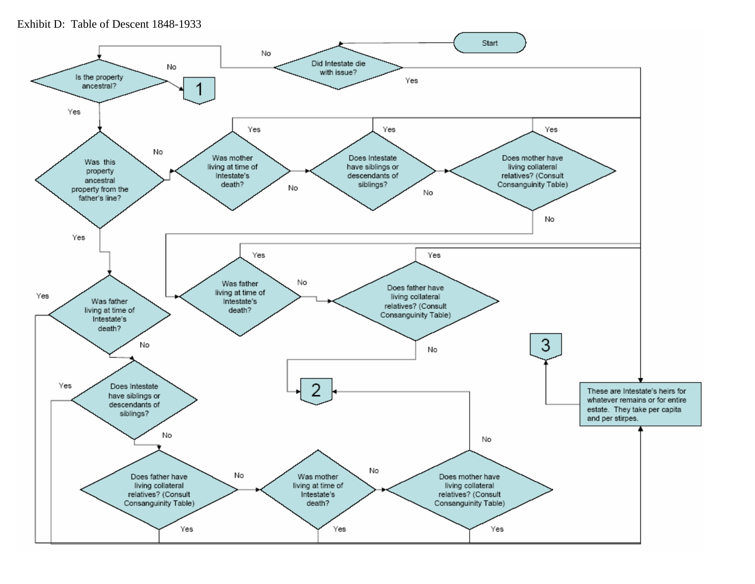Exhibit D: Table of Descent 1848-1933